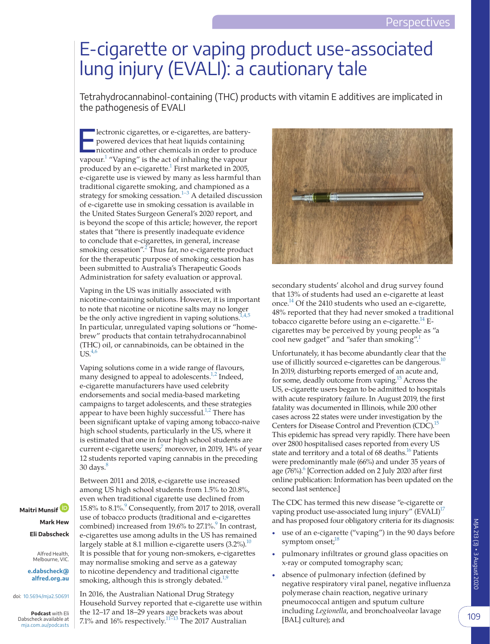## E-cigarette or vaping product use-associated lung injury (EVALI): a cautionary tale

Tetrahydrocannabinol-containing (THC) products with vitamin E additives are implicated in the pathogenesis of EVALI

Electronic cigarettes, or e-cigarettes, are batterypowered devices that heat liquids containing nicotine and other chemicals in order to produce vapour.<sup>1</sup> "Vaping" is the act of inhaling the vapour produced by an e-cigarette.<sup>1</sup> First marketed in 2005, e-cigarette use is viewed by many as less harmful than traditional cigarette smoking, and championed as a strategy for smoking cessation.<sup>1–3</sup> A detailed discussion of e-cigarette use in smoking cessation is available in the United States Surgeon General's 2020 report, and is beyond the scope of this article; however, the report states that "there is presently inadequate evidence to conclude that e-cigarettes, in general, increase smoking cessation".<sup>[2](#page-2-1)</sup> Thus far, no e-cigarette product for the therapeutic purpose of smoking cessation has been submitted to Australia's Therapeutic Goods Administration for safety evaluation or approval.

Vaping in the US was initially associated with nicotine-containing solutions. However, it is important to note that nicotine or nicotine salts may no longer be the only active ingredient in vaping solutions.<sup>1,4,5</sup> In particular, unregulated vaping solutions or "homebrew" products that contain tetrahydrocannabinol (THC) oil, or cannabinoids, can be obtained in the  $US<sub>4,6</sub>$ 

Vaping solutions come in a wide range of flavours, many designed to appeal to adolescents.<sup>1,2</sup> Indeed, e-cigarette manufacturers have used celebrity endorsements and social media-based marketing campaigns to target adolescents, and these strategies appear to have been highly successful. $1/2$  There has been significant uptake of vaping among tobacco-naive high school students, particularly in the US, where it is estimated that one in four high school students are current e-cigarette users;<sup>7</sup> moreover, in 2019, 14% of year 12 students reported vaping cannabis in the preceding  $30 \text{ days}$ . $8$ 

**Maitri Munsif Mark Hew Eli Dabscheck**

> Alfred Health, Melbourne, VIC.

**[e.dabscheck@](mailto:e.dabscheck@alfred.org.au) [alfred.org.au](mailto:e.dabscheck@alfred.org.au)**

doi: [10.5694/mja2.50691](https://doi.org/10.5694/mja2.50691)

**Podcast** with Eli Dabscheck available at [mja.com.au/podcasts](http://mja.com.au/podcasts)

Between 2011 and 2018, e-cigarette use increased among US high school students from 1.5% to 20.8%, even when traditional cigarette use declined from 15.8% to 8.1%.<sup>9</sup> Consequently, from 2017 to 2018, overall use of tobacco products (traditional and e-cigarettes combined) increased from 1[9](#page-2-5).6% to 27.1%.<sup>9</sup> In contrast, e-cigarettes use among adults in the US has remained largely stable at 8.1 million e-cigarette users  $(3.2\%)$ .<sup>10</sup> It is possible that for young non-smokers, e-cigarettes may normalise smoking and serve as a gateway to nicotine dependency and traditional cigarette smoking, although this is strongly debated.<sup>1,9</sup>

In 2016, the Australian National Drug Strategy Household Survey reported that e-cigarette use within the 12–17 and 18–29 years age brackets was about 7.1% and 16% respectively.<sup>11–13</sup> The 2017 Australian



secondary students' alcohol and drug survey found that 13% of students had used an e-cigarette at least once[.14](#page-2-8) Of the 2410 students who used an e-cigarette, 48% reported that they had never smoked a traditional tobacco cigarette before using an e-cigarette.<sup>14</sup> Ecigarettes may be perceived by young people as "a cool new gadget" and "safer than smoking".

Unfortunately, it has become abundantly clear that the use of illicitly sourced e-cigarettes can be dangerous.<sup>10</sup> In 2019, disturbing reports emerged of an acute and, for some, deadly outcome from vaping.<sup>15</sup> Across the US, e-cigarette users began to be admitted to hospitals with acute respiratory failure. In August 2019, the first fatality was documented in Illinois, while 200 other cases across 22 states were under investigation by the Centers for Disease Control and Prevention (CDC).<sup>15</sup> This epidemic has spread very rapidly. There have been over 2800 hospitalised cases reported from every US state and territory and a total of 68 deaths.<sup>16</sup> Patients were predominantly male (66%) and under 35 years of age (76%).<sup>6</sup> [Correction added on 2 July 2020 after first online publication: Information has been updated on the second last sentence.]

The CDC has termed this new disease "e-cigarette or vaping product use-associated lung injury" (EVALI)<sup>17</sup> and has proposed four obligatory criteria for its diagnosis:

- use of an e-cigarette ("vaping") in the 90 days before symptom onset;<sup>[18](#page-2-13)</sup>
- pulmonary infiltrates or ground glass opacities on x-ray or computed tomography scan;
- absence of pulmonary infection (defined by negative respiratory viral panel, negative influenza polymerase chain reaction, negative urinary pneumococcal antigen and sputum culture including *Legionella*, and bronchoalveolar lavage [BAL] culture); and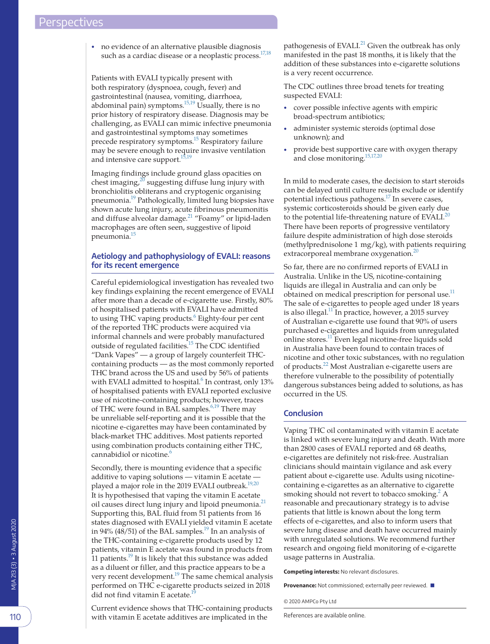• no evidence of an alternative plausible diagnosis such as a cardiac disease or a neoplastic process.<sup>17,18</sup>

Patients with EVALI typically present with both respiratory (dyspnoea, cough, fever) and gastrointestinal (nausea, vomiting, diarrhoea, abdominal pain) symptoms.<sup>15,19</sup> Usually, there is no prior history of respiratory disease. Diagnosis may be challenging, as EVALI can mimic infective pneumonia and gastrointestinal symptoms may sometimes precede respiratory symptoms.<sup>15</sup> Respiratory failure may be severe enough to require invasive ventilation and intensive care support. $^{15}$ 

Imaging findings include ground glass opacities on chest imaging, $^{20}$  $^{20}$  $^{20}$  suggesting diffuse lung injury with bronchiolitis obliterans and cryptogenic organising pneumonia.<sup>19</sup> Pathologically, limited lung biopsies have shown acute lung injury, acute fibrinous pneumonitis and diffuse alveolar damage.<sup>[21](#page-2-16)</sup> "Foamy" or lipid-laden macrophages are often seen, suggestive of lipoid pneumonia.<sup>15</sup>

## **Aetiology and pathophysiology of EVALI: reasons for its recent emergence**

Careful epidemiological investigation has revealed two key findings explaining the recent emergence of EVALI after more than a decade of e-cigarette use. Firstly, 80% of hospitalised patients with EVALI have admitted to using THC vaping products.<sup>6</sup> Eighty-four per cent of the reported THC products were acquired via informal channels and were probably manufactured outside of regulated facilities.<sup>15</sup> The CDC identified "Dank Vapes" — a group of largely counterfeit THCcontaining products — as the most commonly reported THC brand across the US and used by 56% of patients with EVALI admitted to hospital.<sup>[6](#page-2-11)</sup> In contrast, only 13% of hospitalised patients with EVALI reported exclusive use of nicotine-containing products; however, traces of THC were found in BAL samples.<sup>[6,19](#page-2-11)</sup> There may be unreliable self-reporting and it is possible that the nicotine e-cigarettes may have been contaminated by black-market THC additives. Most patients reported using combination products containing either THC, cannabidiol or nicotine.<sup>[6](#page-2-11)</sup>

Secondly, there is mounting evidence that a specific additive to vaping solutions — vitamin E acetate played a major role in the 2019 EVALI outbreak. $^{19,20}$ It is hypothesised that vaping the vitamin E acetate oil causes direct lung injury and lipoid pneumonia.<sup>[21](#page-2-16)</sup> Supporting this, BAL fluid from 51 patients from 16 states diagnosed with EVALI yielded vitamin E acetate in 94% (48/51) of the BAL samples.<sup>19</sup> In an analysis of the THC-containing e-cigarette products used by 12 patients, vitamin E acetate was found in products from 11 patients.<sup>19</sup> It is likely that this substance was added as a diluent or filler, and this practice appears to be a very recent development.<sup>19</sup> The same chemical analysis performed on THC e-cigarette products seized in 2018 did not find vitamin E acetate.<sup>19</sup>

Current evidence shows that THC-containing products with vitamin E acetate additives are implicated in the

pathogenesis of EVALI. $^{21}$  $^{21}$  $^{21}$  Given the outbreak has only manifested in the past 18 months, it is likely that the addition of these substances into e-cigarette solutions is a very recent occurrence.

The CDC outlines three broad tenets for treating suspected EVALI:

- cover possible infective agents with empiric broad-spectrum antibiotics;
- administer systemic steroids (optimal dose unknown); and
- provide best supportive care with oxygen therapy and close monitoring[.15,17,20](#page-2-9)

In mild to moderate cases, the decision to start steroids can be delayed until culture results exclude or identify potential infectious pathogens.<sup>17</sup> In severe cases, systemic corticosteroids should be given early due to the potential life-threatening nature of EVALI. $^{20}$  $^{20}$  $^{20}$ There have been reports of progressive ventilatory failure despite administration of high dose steroids (methylprednisolone 1 mg/kg), with patients requiring extracorporeal membrane oxygenation.<sup>[20](#page-2-14)</sup>

So far, there are no confirmed reports of EVALI in Australia. Unlike in the US, nicotine-containing liquids are illegal in Australia and can only be obtained on medical prescription for personal use.<sup>11</sup> The sale of e-cigarettes to people aged under 18 years is also illegal.<sup>11</sup> In practice, however, a 2015 survey of Australian e-cigarette use found that 90% of users purchased e-cigarettes and liquids from unregulated online stores[.11](#page-2-7) Even legal nicotine-free liquids sold in Australia have been found to contain traces of nicotine and other toxic substances, with no regulation of products.<sup>[22](#page-2-17)</sup> Most Australian e-cigarette users are therefore vulnerable to the possibility of potentially dangerous substances being added to solutions, as has occurred in the US.

## **Conclusion**

Vaping THC oil contaminated with vitamin E acetate is linked with severe lung injury and death. With more than 2800 cases of EVALI reported and 68 deaths, e-cigarettes are definitely not risk-free. Australian clinicians should maintain vigilance and ask every patient about e-cigarette use. Adults using nicotinecontaining e-cigarettes as an alternative to cigarette smoking should not revert to tobacco smoking. $^{2}$  $^{2}$  $^{2}$  A reasonable and precautionary strategy is to advise patients that little is known about the long term effects of e-cigarettes, and also to inform users that severe lung disease and death have occurred mainly with unregulated solutions. We recommend further research and ongoing field monitoring of e-cigarette usage patterns in Australia.

**Competing interests:** No relevant disclosures.

**Provenance:** Not commissioned; externally peer reviewed. ■

© 2020 AMPCo Pty Ltd

References are available online.